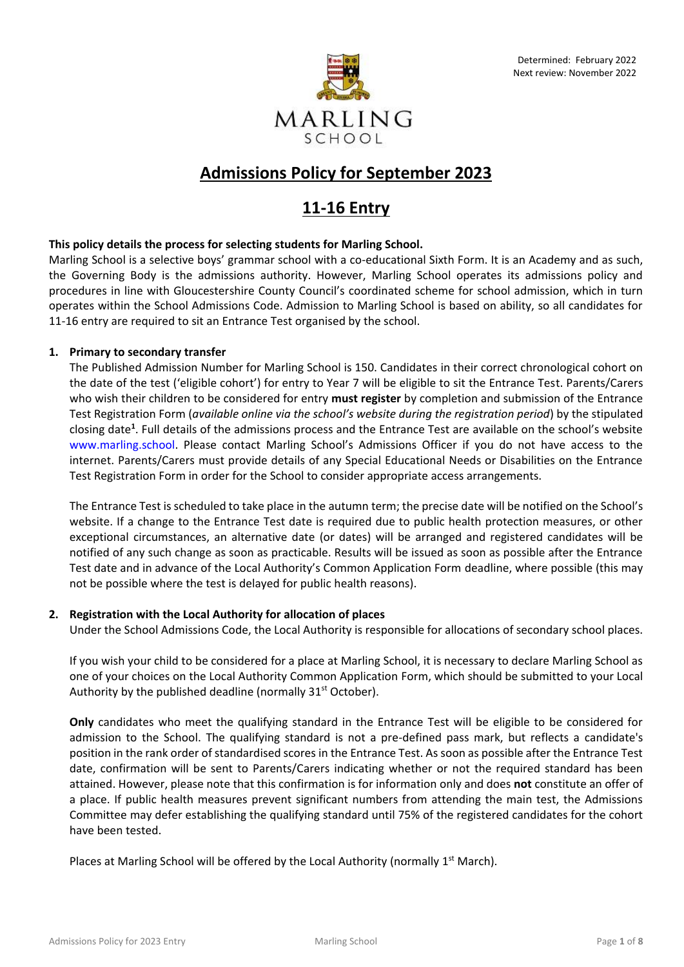

# **Admissions Policy for September 2023**

# **11-16 Entry**

## **This policy details the process for selecting students for Marling School.**

Marling School is a selective boys' grammar school with a co-educational Sixth Form. It is an Academy and as such, the Governing Body is the admissions authority. However, Marling School operates its admissions policy and procedures in line with Gloucestershire County Council's coordinated scheme for school admission, which in turn operates within the School Admissions Code. Admission to Marling School is based on ability, so all candidates for 11-16 entry are required to sit an Entrance Test organised by the school.

## **1. Primary to secondary transfer**

The Published Admission Number for Marling School is 150. Candidates in their correct chronological cohort on the date of the test ('eligible cohort') for entry to Year 7 will be eligible to sit the Entrance Test. Parents/Carers who wish their children to be considered for entry **must register** by completion and submission of the Entrance Test Registration Form (*available online via the school's website during the registration period*) by the stipulated closing date**<sup>1</sup>** . Full details of the admissions process and the Entrance Test are available on the school's website [www.marling.school](http://www.marling.school/). Please contact Marling School's Admissions Officer if you do not have access to the internet. Parents/Carers must provide details of any Special Educational Needs or Disabilities on the Entrance Test Registration Form in order for the School to consider appropriate access arrangements.

The Entrance Test is scheduled to take place in the autumn term; the precise date will be notified on the School's website. If a change to the Entrance Test date is required due to public health protection measures, or other exceptional circumstances, an alternative date (or dates) will be arranged and registered candidates will be notified of any such change as soon as practicable. Results will be issued as soon as possible after the Entrance Test date and in advance of the Local Authority's Common Application Form deadline, where possible (this may not be possible where the test is delayed for public health reasons).

## **2. Registration with the Local Authority for allocation of places**

Under the School Admissions Code, the Local Authority is responsible for allocations of secondary school places.

If you wish your child to be considered for a place at Marling School, it is necessary to declare Marling School as one of your choices on the Local Authority Common Application Form, which should be submitted to your Local Authority by the published deadline (normally  $31<sup>st</sup>$  October).

**Only** candidates who meet the qualifying standard in the Entrance Test will be eligible to be considered for admission to the School. The qualifying standard is not a pre-defined pass mark, but reflects a candidate's position in the rank order of standardised scores in the Entrance Test. As soon as possible after the Entrance Test date, confirmation will be sent to Parents/Carers indicating whether or not the required standard has been attained. However, please note that this confirmation is for information only and does **not** constitute an offer of a place. If public health measures prevent significant numbers from attending the main test, the Admissions Committee may defer establishing the qualifying standard until 75% of the registered candidates for the cohort have been tested.

Places at Marling School will be offered by the Local Authority (normally  $1<sup>st</sup>$  March).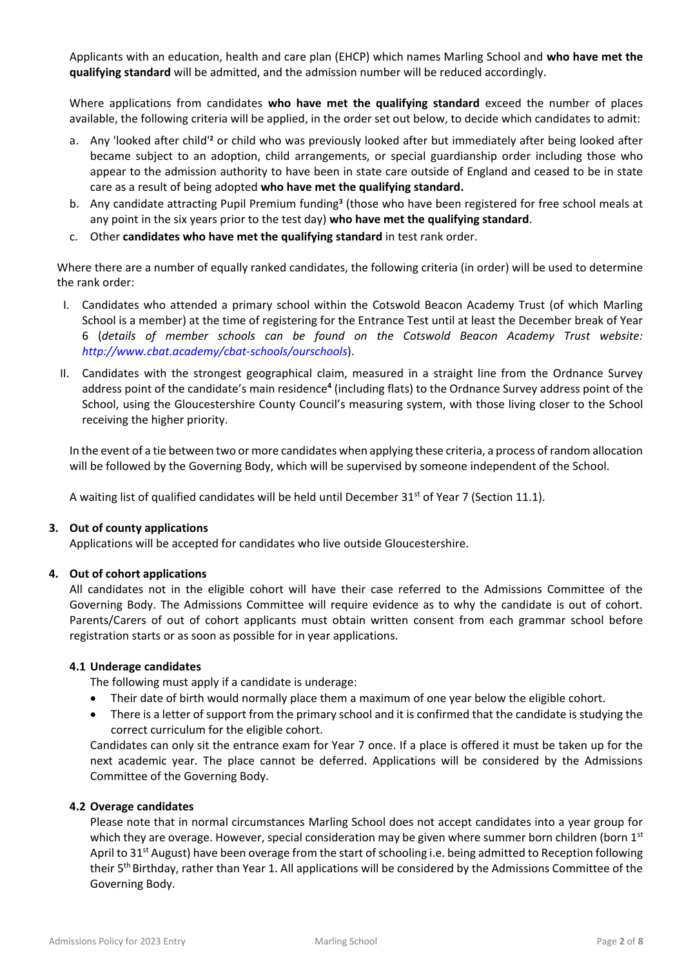Applicants with an education, health and care plan (EHCP) which names Marling School and **who have met the qualifying standard** will be admitted, and the admission number will be reduced accordingly.

Where applications from candidates **who have met the qualifying standard** exceed the number of places available, the following criteria will be applied, in the order set out below, to decide which candidates to admit:

- a. Any 'looked after child'**<sup>2</sup>** or child who was previously looked after but immediately after being looked after became subject to an adoption, child arrangements, or special guardianship order including those who appear to the admission authority to have been in state care outside of England and ceased to be in state care as a result of being adopted **who have met the qualifying standard.**
- b. Any candidate attracting Pupil Premium funding**<sup>3</sup>** (those who have been registered for free school meals at any point in the six years prior to the test day) **who have met the qualifying standard**.
- c. Other **candidates who have met the qualifying standard** in test rank order.

Where there are a number of equally ranked candidates, the following criteria (in order) will be used to determine the rank order:

- I. Candidates who attended a primary school within the Cotswold Beacon Academy Trust (of which Marling School is a member) at the time of registering for the Entrance Test until at least the December break of Year 6 (*details of member schools can be found on the Cotswold Beacon Academy Trust website: <http://www.cbat.academy/cbat-schools/ourschools>*).
- II. Candidates with the strongest geographical claim, measured in a straight line from the Ordnance Survey address point of the candidate's main residence**<sup>4</sup>** (including flats) to the Ordnance Survey address point of the School, using the Gloucestershire County Council's measuring system, with those living closer to the School receiving the higher priority.

In the event of a tie between two or more candidates when applying these criteria, a process of random allocation will be followed by the Governing Body, which will be supervised by someone independent of the School.

A waiting list of qualified candidates will be held until December 31<sup>st</sup> of Year 7 (Section 11.1).

### **3. Out of county applications**

Applications will be accepted for candidates who live outside Gloucestershire.

### **4. Out of cohort applications**

All candidates not in the eligible cohort will have their case referred to the Admissions Committee of the Governing Body. The Admissions Committee will require evidence as to why the candidate is out of cohort. Parents/Carers of out of cohort applicants must obtain written consent from each grammar school before registration starts or as soon as possible for in year applications.

### **4.1 Underage candidates**

The following must apply if a candidate is underage:

- Their date of birth would normally place them a maximum of one year below the eligible cohort.
- There is a letter of support from the primary school and it is confirmed that the candidate is studying the correct curriculum for the eligible cohort.

Candidates can only sit the entrance exam for Year 7 once. If a place is offered it must be taken up for the next academic year. The place cannot be deferred. Applications will be considered by the Admissions Committee of the Governing Body.

### **4.2 Overage candidates**

Please note that in normal circumstances Marling School does not accept candidates into a year group for which they are overage. However, special consideration may be given where summer born children (born 1st April to 31<sup>st</sup> August) have been overage from the start of schooling i.e. being admitted to Reception following their 5th Birthday, rather than Year 1. All applications will be considered by the Admissions Committee of the Governing Body.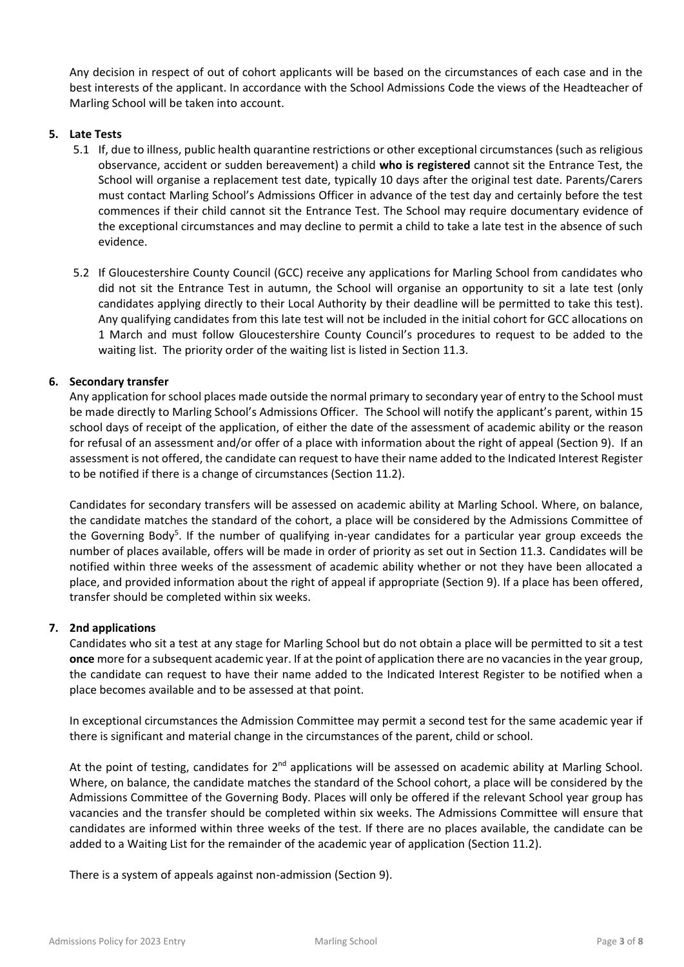Any decision in respect of out of cohort applicants will be based on the circumstances of each case and in the best interests of the applicant. In accordance with the School Admissions Code the views of the Headteacher of Marling School will be taken into account.

## **5. Late Tests**

- 5.1 If, due to illness, public health quarantine restrictions or other exceptional circumstances (such as religious observance, accident or sudden bereavement) a child **who is registered** cannot sit the Entrance Test, the School will organise a replacement test date, typically 10 days after the original test date. Parents/Carers must contact Marling School's Admissions Officer in advance of the test day and certainly before the test commences if their child cannot sit the Entrance Test. The School may require documentary evidence of the exceptional circumstances and may decline to permit a child to take a late test in the absence of such evidence.
- 5.2 If Gloucestershire County Council (GCC) receive any applications for Marling School from candidates who did not sit the Entrance Test in autumn, the School will organise an opportunity to sit a late test (only candidates applying directly to their Local Authority by their deadline will be permitted to take this test). Any qualifying candidates from this late test will not be included in the initial cohort for GCC allocations on 1 March and must follow Gloucestershire County Council's procedures to request to be added to the waiting list. The priority order of the waiting list is listed in Section 11.3.

## **6. Secondary transfer**

Any application for school places made outside the normal primary to secondary year of entry to the School must be made directly to Marling School's Admissions Officer. The School will notify the applicant's parent, within 15 school days of receipt of the application, of either the date of the assessment of academic ability or the reason for refusal of an assessment and/or offer of a place with information about the right of appeal (Section 9). If an assessment is not offered, the candidate can request to have their name added to the Indicated Interest Register to be notified if there is a change of circumstances (Section 11.2).

Candidates for secondary transfers will be assessed on academic ability at Marling School. Where, on balance, the candidate matches the standard of the cohort, a place will be considered by the Admissions Committee of the Governing Body<sup>5</sup>. If the number of qualifying in-year candidates for a particular year group exceeds the number of places available, offers will be made in order of priority as set out in Section 11.3. Candidates will be notified within three weeks of the assessment of academic ability whether or not they have been allocated a place, and provided information about the right of appeal if appropriate (Section 9). If a place has been offered, transfer should be completed within six weeks.

### **7. 2nd applications**

Candidates who sit a test at any stage for Marling School but do not obtain a place will be permitted to sit a test **once** more for a subsequent academic year. If at the point of application there are no vacancies in the year group, the candidate can request to have their name added to the Indicated Interest Register to be notified when a place becomes available and to be assessed at that point.

In exceptional circumstances the Admission Committee may permit a second test for the same academic year if there is significant and material change in the circumstances of the parent, child or school.

At the point of testing, candidates for 2<sup>nd</sup> applications will be assessed on academic ability at Marling School. Where, on balance, the candidate matches the standard of the School cohort, a place will be considered by the Admissions Committee of the Governing Body. Places will only be offered if the relevant School year group has vacancies and the transfer should be completed within six weeks. The Admissions Committee will ensure that candidates are informed within three weeks of the test. If there are no places available, the candidate can be added to a Waiting List for the remainder of the academic year of application (Section 11.2).

There is a system of appeals against non-admission (Section 9).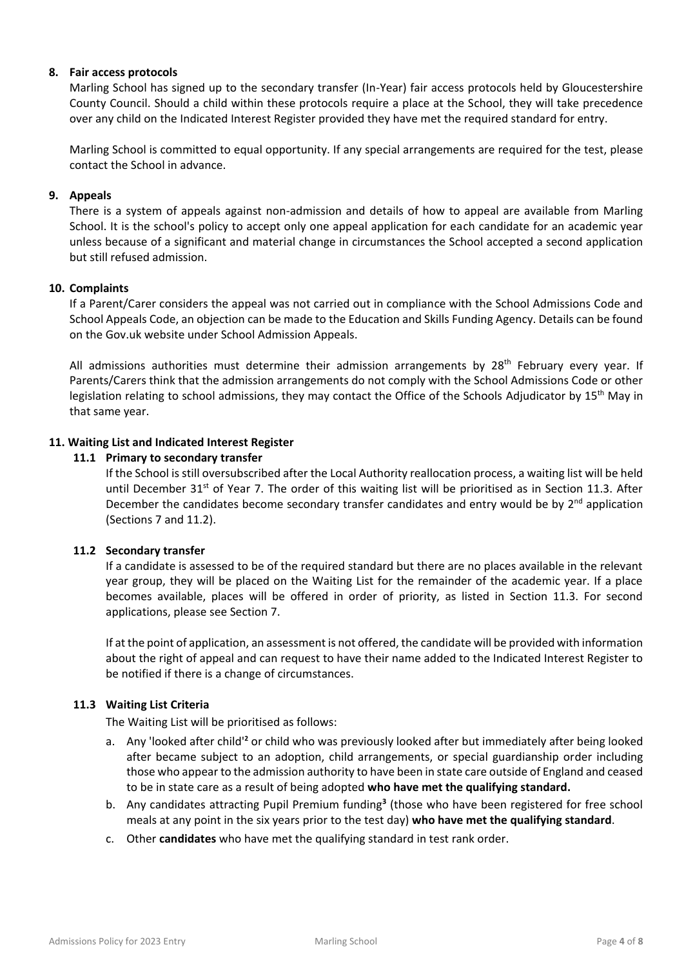### **8. Fair access protocols**

Marling School has signed up to the secondary transfer (In-Year) fair access protocols held by Gloucestershire County Council. Should a child within these protocols require a place at the School, they will take precedence over any child on the Indicated Interest Register provided they have met the required standard for entry.

Marling School is committed to equal opportunity. If any special arrangements are required for the test, please contact the School in advance.

### **9. Appeals**

There is a system of appeals against non-admission and details of how to appeal are available from Marling School. It is the school's policy to accept only one appeal application for each candidate for an academic year unless because of a significant and material change in circumstances the School accepted a second application but still refused admission.

### **10. Complaints**

If a Parent/Carer considers the appeal was not carried out in compliance with the School Admissions Code and School Appeals Code, an objection can be made to the Education and Skills Funding Agency. Details can be found on the Gov.uk website under School Admission Appeals.

All admissions authorities must determine their admission arrangements by  $28<sup>th</sup>$  February every year. If Parents/Carers think that the admission arrangements do not comply with the School Admissions Code or other legislation relating to school admissions, they may contact the Office of the Schools Adjudicator by 15<sup>th</sup> May in that same year.

### **11. Waiting List and Indicated Interest Register**

### **11.1 Primary to secondary transfer**

If the School is still oversubscribed after the Local Authority reallocation process, a waiting list will be held until December 31<sup>st</sup> of Year 7. The order of this waiting list will be prioritised as in Section 11.3. After December the candidates become secondary transfer candidates and entry would be by  $2<sup>nd</sup>$  application (Sections 7 and 11.2).

### **11.2 Secondary transfer**

If a candidate is assessed to be of the required standard but there are no places available in the relevant year group, they will be placed on the Waiting List for the remainder of the academic year. If a place becomes available, places will be offered in order of priority, as listed in Section 11.3. For second applications, please see Section 7.

If at the point of application, an assessment is not offered, the candidate will be provided with information about the right of appeal and can request to have their name added to the Indicated Interest Register to be notified if there is a change of circumstances.

### **11.3 Waiting List Criteria**

The Waiting List will be prioritised as follows:

- a. Any 'looked after child'**<sup>2</sup>** or child who was previously looked after but immediately after being looked after became subject to an adoption, child arrangements, or special guardianship order including those who appear to the admission authority to have been in state care outside of England and ceased to be in state care as a result of being adopted **who have met the qualifying standard.**
- b. Any candidates attracting Pupil Premium funding**<sup>3</sup>** (those who have been registered for free school meals at any point in the six years prior to the test day) **who have met the qualifying standard**.
- c. Other **candidates** who have met the qualifying standard in test rank order.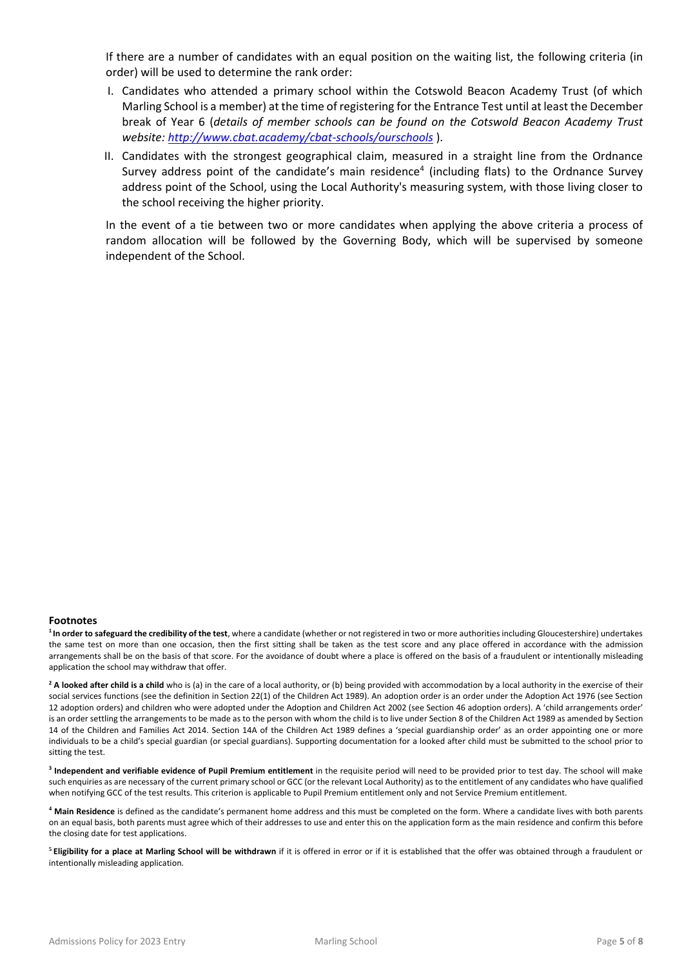If there are a number of candidates with an equal position on the waiting list, the following criteria (in order) will be used to determine the rank order:

- I. Candidates who attended a primary school within the Cotswold Beacon Academy Trust (of which Marling School is a member) at the time of registering for the Entrance Test until at least the December break of Year 6 (*details of member schools can be found on the Cotswold Beacon Academy Trust website:<http://www.cbat.academy/cbat-schools/ourschools>* ).
- II. Candidates with the strongest geographical claim, measured in a straight line from the Ordnance Survey address point of the candidate's main residence<sup>4</sup> (including flats) to the Ordnance Survey address point of the School, using the Local Authority's measuring system, with those living closer to the school receiving the higher priority.

In the event of a tie between two or more candidates when applying the above criteria a process of random allocation will be followed by the Governing Body, which will be supervised by someone independent of the School.

#### **Footnotes**

**<sup>1</sup>In order to safeguard the credibility of the test**, where a candidate (whether or not registered in two or more authorities including Gloucestershire) undertakes the same test on more than one occasion, then the first sitting shall be taken as the test score and any place offered in accordance with the admission arrangements shall be on the basis of that score. For the avoidance of doubt where a place is offered on the basis of a fraudulent or intentionally misleading application the school may withdraw that offer.

<sup>2</sup> A looked after child is a child who is (a) in the care of a local authority, or (b) being provided with accommodation by a local authority in the exercise of their social services functions (see the definition in Section 22(1) of the Children Act 1989). An adoption order is an order under the Adoption Act 1976 (see Section 12 adoption orders) and children who were adopted under the Adoption and Children Act 2002 (see Section 46 adoption orders). A 'child arrangements order' is an order settling the arrangements to be made as to the person with whom the child is to live under Section 8 of the Children Act 1989 as amended by Section 14 of the Children and Families Act 2014. Section 14A of the Children Act 1989 defines a 'special guardianship order' as an order appointing one or more individuals to be a child's special guardian (or special guardians). Supporting documentation for a looked after child must be submitted to the school prior to sitting the test.

**3 Independent and verifiable evidence of Pupil Premium entitlement** in the requisite period will need to be provided prior to test day. The school will make such enquiries as are necessary of the current primary school or GCC (or the relevant Local Authority) as to the entitlement of any candidates who have qualified when notifying GCC of the test results. This criterion is applicable to Pupil Premium entitlement only and not Service Premium entitlement.

**<sup>4</sup> Main Residence** is defined as the candidate's permanent home address and this must be completed on the form. Where a candidate lives with both parents on an equal basis, both parents must agree which of their addresses to use and enter this on the application form as the main residence and confirm this before the closing date for test applications.

**5 Eligibility for a place at Marling School will be withdrawn** if it is offered in error or if it is established that the offer was obtained through a fraudulent or intentionally misleading application.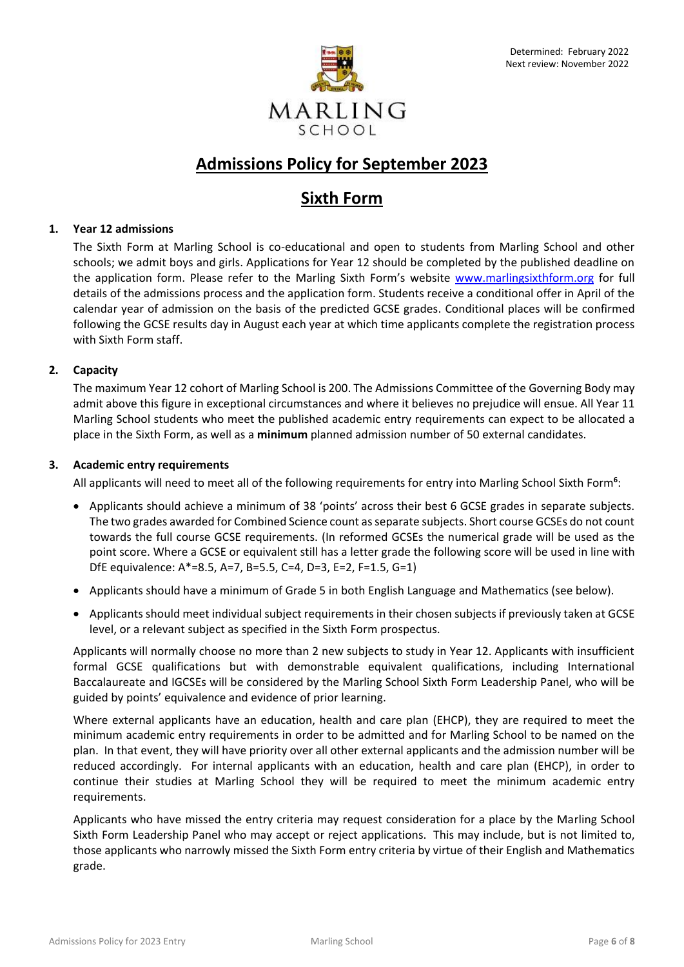

# **Admissions Policy for September 2023**

## **Sixth Form**

## **1. Year 12 admissions**

The Sixth Form at Marling School is co-educational and open to students from Marling School and other schools; we admit boys and girls. Applications for Year 12 should be completed by the published deadline on the application form. Please refer to the Marling Sixth Form's website [www.marlingsixthform.org](http://www.marlingsixthform.org/) for full details of the admissions process and the application form. Students receive a conditional offer in April of the calendar year of admission on the basis of the predicted GCSE grades. Conditional places will be confirmed following the GCSE results day in August each year at which time applicants complete the registration process with Sixth Form staff.

### **2. Capacity**

The maximum Year 12 cohort of Marling School is 200. The Admissions Committee of the Governing Body may admit above this figure in exceptional circumstances and where it believes no prejudice will ensue. All Year 11 Marling School students who meet the published academic entry requirements can expect to be allocated a place in the Sixth Form, as well as a **minimum** planned admission number of 50 external candidates.

### **3. Academic entry requirements**

All applicants will need to meet all of the following requirements for entry into Marling School Sixth Form**<sup>6</sup>** :

- Applicants should achieve a minimum of 38 'points' across their best 6 GCSE grades in separate subjects. The two grades awarded for Combined Science count as separate subjects. Short course GCSEs do not count towards the full course GCSE requirements. (In reformed GCSEs the numerical grade will be used as the point score. Where a GCSE or equivalent still has a letter grade the following score will be used in line with DfE equivalence: A\*=8.5, A=7, B=5.5, C=4, D=3, E=2, F=1.5, G=1)
- Applicants should have a minimum of Grade 5 in both English Language and Mathematics (see below).
- Applicants should meet individual subject requirements in their chosen subjects if previously taken at GCSE level, or a relevant subject as specified in the Sixth Form prospectus.

Applicants will normally choose no more than 2 new subjects to study in Year 12. Applicants with insufficient formal GCSE qualifications but with demonstrable equivalent qualifications, including International Baccalaureate and IGCSEs will be considered by the Marling School Sixth Form Leadership Panel, who will be guided by points' equivalence and evidence of prior learning.

Where external applicants have an education, health and care plan (EHCP), they are required to meet the minimum academic entry requirements in order to be admitted and for Marling School to be named on the plan. In that event, they will have priority over all other external applicants and the admission number will be reduced accordingly. For internal applicants with an education, health and care plan (EHCP), in order to continue their studies at Marling School they will be required to meet the minimum academic entry requirements.

Applicants who have missed the entry criteria may request consideration for a place by the Marling School Sixth Form Leadership Panel who may accept or reject applications. This may include, but is not limited to, those applicants who narrowly missed the Sixth Form entry criteria by virtue of their English and Mathematics grade.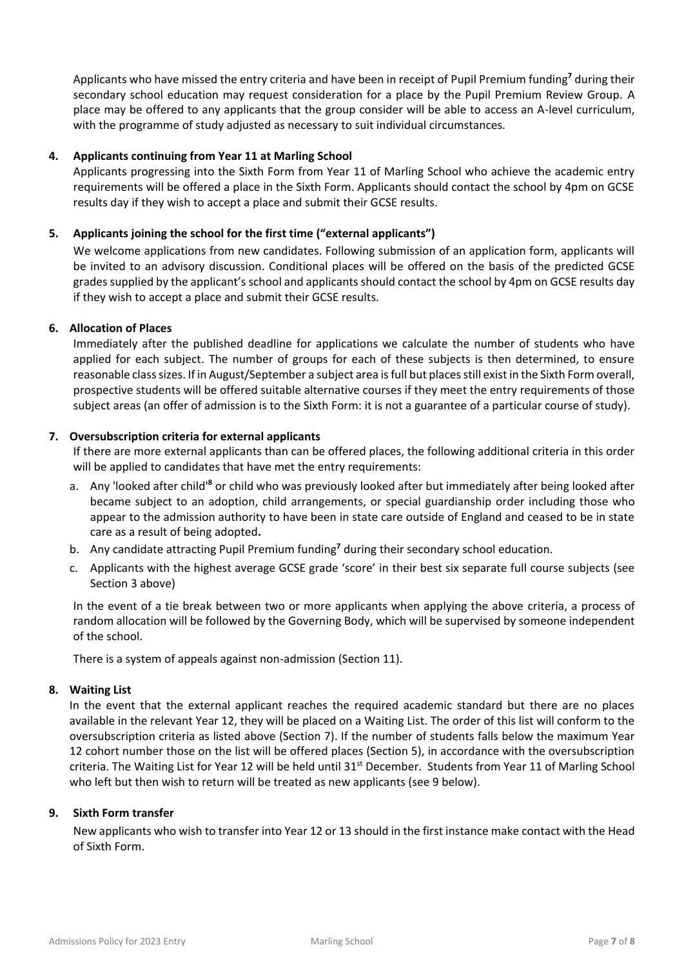Applicants who have missed the entry criteria and have been in receipt of Pupil Premium funding**<sup>7</sup>** during their secondary school education may request consideration for a place by the Pupil Premium Review Group. A place may be offered to any applicants that the group consider will be able to access an A-level curriculum, with the programme of study adjusted as necessary to suit individual circumstances.

### **4. Applicants continuing from Year 11 at Marling School**

Applicants progressing into the Sixth Form from Year 11 of Marling School who achieve the academic entry requirements will be offered a place in the Sixth Form. Applicants should contact the school by 4pm on GCSE results day if they wish to accept a place and submit their GCSE results.

### **5. Applicants joining the school for the first time ("external applicants")**

We welcome applications from new candidates. Following submission of an application form, applicants will be invited to an advisory discussion. Conditional places will be offered on the basis of the predicted GCSE grades supplied by the applicant's school and applicants should contact the school by 4pm on GCSE results day if they wish to accept a place and submit their GCSE results.

### **6. Allocation of Places**

Immediately after the published deadline for applications we calculate the number of students who have applied for each subject. The number of groups for each of these subjects is then determined, to ensure reasonable class sizes. If in August/September a subject area is full but places still exist in the Sixth Form overall, prospective students will be offered suitable alternative courses if they meet the entry requirements of those subject areas (an offer of admission is to the Sixth Form: it is not a guarantee of a particular course of study).

### **7. Oversubscription criteria for external applicants**

If there are more external applicants than can be offered places, the following additional criteria in this order will be applied to candidates that have met the entry requirements:

- a. Any 'looked after child'**<sup>8</sup>** or child who was previously looked after but immediately after being looked after became subject to an adoption, child arrangements, or special guardianship order including those who appear to the admission authority to have been in state care outside of England and ceased to be in state care as a result of being adopted**.**
- b. Any candidate attracting Pupil Premium funding**<sup>7</sup>** during their secondary school education.
- c. Applicants with the highest average GCSE grade 'score' in their best six separate full course subjects (see Section 3 above)

In the event of a tie break between two or more applicants when applying the above criteria, a process of random allocation will be followed by the Governing Body, which will be supervised by someone independent of the school.

There is a system of appeals against non-admission (Section 11).

### **8. Waiting List**

In the event that the external applicant reaches the required academic standard but there are no places available in the relevant Year 12, they will be placed on a Waiting List. The order of this list will conform to the oversubscription criteria as listed above (Section 7). If the number of students falls below the maximum Year 12 cohort number those on the list will be offered places (Section 5), in accordance with the oversubscription criteria. The Waiting List for Year 12 will be held until  $31<sup>st</sup>$  December. Students from Year 11 of Marling School who left but then wish to return will be treated as new applicants (see 9 below).

### **9. Sixth Form transfer**

New applicants who wish to transfer into Year 12 or 13 should in the first instance make contact with the Head of Sixth Form.